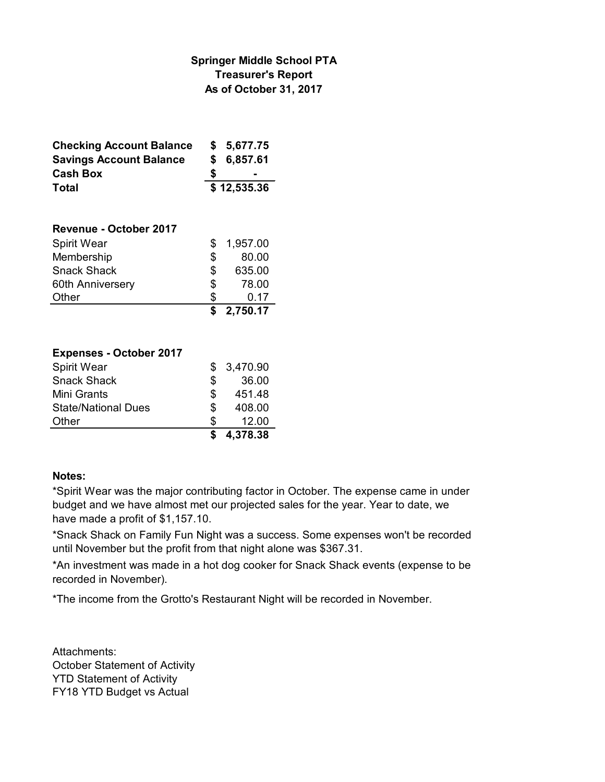## **As of October 31, 2017 Treasurer's Report Springer Middle School PTA**

| <b>Checking Account Balance</b> | \$          | 5,677.75 |  |
|---------------------------------|-------------|----------|--|
| <b>Savings Account Balance</b>  | S           | 6,857.61 |  |
| <b>Cash Box</b>                 |             |          |  |
| Total                           | \$12,535.36 |          |  |
|                                 |             |          |  |
| Revenue - October 2017          |             |          |  |
| <b>Spirit Wear</b>              | \$          | 1,957.00 |  |
| Membership                      | \$          | 80.00    |  |
| <b>Snack Shack</b>              | \$          | 635.00   |  |
| 60th Anniversery                | \$          | 78.00    |  |
| Other                           | \$          | 0.17     |  |
|                                 | \$          | 2,750.17 |  |

| <b>Expenses - October 2017</b> |    |          |
|--------------------------------|----|----------|
| Spirit Wear                    | S  | 3,470.90 |
| <b>Snack Shack</b>             | S  | 36.00    |
| Mini Grants                    | \$ | 451.48   |
| <b>State/National Dues</b>     | \$ | 408.00   |
| Other                          | S  | 12.00    |
|                                |    | 4,378.38 |

### **Notes:**

\*Spirit Wear was the major contributing factor in October. The expense came in under budget and we have almost met our projected sales for the year. Year to date, we have made a profit of \$1,157.10.

\*Snack Shack on Family Fun Night was a success. Some expenses won't be recorded until November but the profit from that night alone was \$367.31.

\*An investment was made in a hot dog cooker for Snack Shack events (expense to be recorded in November).

\*The income from the Grotto's Restaurant Night will be recorded in November.

Attachments: October Statement of Activity YTD Statement of Activity FY18 YTD Budget vs Actual